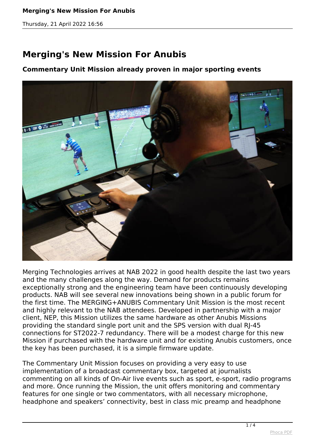## **Merging's New Mission For Anubis**

*Thursday, 21 April 2022 16:56*

## **Merging's New Mission For Anubis**

## **Commentary Unit Mission already proven in major sporting events**



*Merging Technologies arrives at NAB 2022 in good health despite the last two years and the many challenges along the way. Demand for products remains exceptionally strong and the engineering team have been continuously developing products. NAB will see several new innovations being shown in a public forum for the first time. The MERGING+ANUBIS Commentary Unit Mission is the most recent and highly relevant to the NAB attendees. Developed in partnership with a major client, NEP, this Mission utilizes the same hardware as other Anubis Missions providing the standard single port unit and the SPS version with dual RJ-45 connections for ST2022-7 redundancy. There will be a modest charge for this new Mission if purchased with the hardware unit and for existing Anubis customers, once the key has been purchased, it is a simple firmware update.* 

*The Commentary Unit Mission focuses on providing a very easy to use implementation of a broadcast commentary box, targeted at journalists commenting on all kinds of On-Air live events such as sport, e-sport, radio programs and more. Once running the Mission, the unit offers monitoring and commentary features for one single or two commentators, with all necessary microphone, headphone and speakers' connectivity, best in class mic preamp and headphone*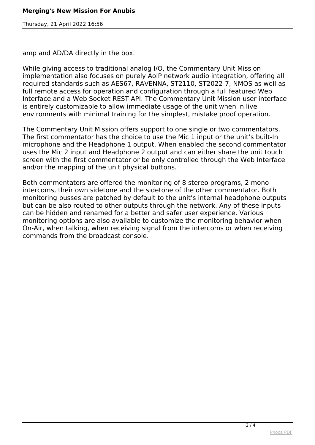*Thursday, 21 April 2022 16:56*

*amp and AD/DA directly in the box.*

*While giving access to traditional analog I/O, the Commentary Unit Mission implementation also focuses on purely AoIP network audio integration, offering all required standards such as AES67, RAVENNA, ST2110, ST2022-7, NMOS as well as full remote access for operation and configuration through a full featured Web Interface and a Web Socket REST API. The Commentary Unit Mission user interface is entirely customizable to allow immediate usage of the unit when in live environments with minimal training for the simplest, mistake proof operation.*

*The Commentary Unit Mission offers support to one single or two commentators. The first commentator has the choice to use the Mic 1 input or the unit's built-In microphone and the Headphone 1 output. When enabled the second commentator uses the Mic 2 input and Headphone 2 output and can either share the unit touch screen with the first commentator or be only controlled through the Web Interface and/or the mapping of the unit physical buttons.*

*Both commentators are offered the monitoring of 8 stereo programs, 2 mono intercoms, their own sidetone and the sidetone of the other commentator. Both monitoring busses are patched by default to the unit's internal headphone outputs but can be also routed to other outputs through the network. Any of these inputs can be hidden and renamed for a better and safer user experience. Various monitoring options are also available to customize the monitoring behavior when On-Air, when talking, when receiving signal from the intercoms or when receiving commands from the broadcast console.*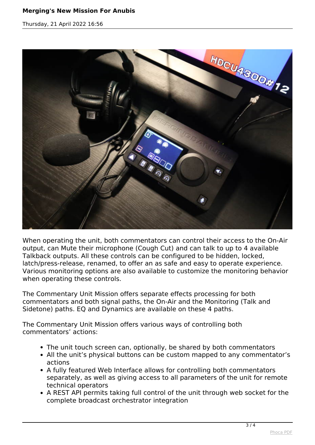## **Merging's New Mission For Anubis**

*Thursday, 21 April 2022 16:56*



*When operating the unit, both commentators can control their access to the On-Air output, can Mute their microphone (Cough Cut) and can talk to up to 4 available Talkback outputs. All these controls can be configured to be hidden, locked, latch/press-release, renamed, to offer an as safe and easy to operate experience. Various monitoring options are also available to customize the monitoring behavior when operating these controls.*

*The Commentary Unit Mission offers separate effects processing for both commentators and both signal paths, the On-Air and the Monitoring (Talk and Sidetone) paths. EQ and Dynamics are available on these 4 paths.*

*The Commentary Unit Mission offers various ways of controlling both commentators' actions:*

- *The unit touch screen can, optionally, be shared by both commentators*
- *All the unit's physical buttons can be custom mapped to any commentator's actions*
- *A fully featured Web Interface allows for controlling both commentators separately, as well as giving access to all parameters of the unit for remote technical operators*
- *A REST API permits taking full control of the unit through web socket for the complete broadcast orchestrator integration*